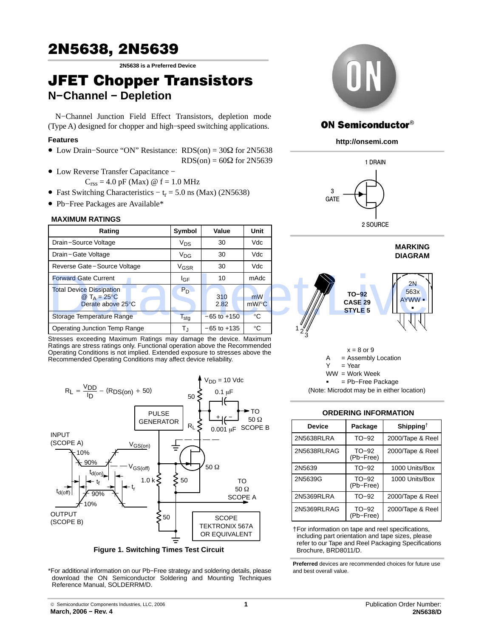# <span id="page-0-0"></span>2N5638, 2N5639

**2N5638 is a Preferred Device**

## JFET Chopper Transistors **N−Channel − Depletion**

N−Channel Junction Field Effect Transistors, depletion mode (Type A) designed for chopper and high−speed switching applications.

### **Features**

- Low Drain–Source "ON" Resistance: RDS(on) = 30Ω for 2N5638  $RDS(on) = 60\Omega$  for 2N5639
- Low Reverse Transfer Capacitance −
	- $C_{\text{rss}} = 4.0 \text{ pF}$  (Max)  $\omega$  f = 1.0 MHz
- Fast Switching Characteristics  $-t_r = 5.0$  ns (Max) (2N5638)
- Pb−Free Packages are Available\*

### **MAXIMUM RATINGS**

| Rating                                                                  | Symbol           | Value           | <b>Unit</b>                           | <b>LUUUIUL</b>                                         |
|-------------------------------------------------------------------------|------------------|-----------------|---------------------------------------|--------------------------------------------------------|
| Drain-Source Voltage                                                    | $V_{DS}$         | 30              | Vdc                                   | <b>MARKING</b>                                         |
| Drain-Gate Voltage                                                      | $V_{DG}$         | 30              | <b>Vdc</b>                            | <b>DIAGRAM</b>                                         |
| Reverse Gate-Source Voltage                                             | V <sub>GSR</sub> | 30              | <b>Vdc</b>                            |                                                        |
| <b>Forward Gate Current</b>                                             | I <sub>GF</sub>  | 10              | mAdc                                  | 2N                                                     |
| <b>Total Device Dissipation</b><br>@ $T_A = 25$ °C<br>Derate above 25°C | $P_D$            | 310<br>2.82     | m <sub>W</sub><br>$mW$ <sup>o</sup> C | 563x<br>$TO-92$<br>AYWW =<br>CASE 29<br><b>STYLE 5</b> |
| Storage Temperature Range                                               | I <sub>stg</sub> | $-65$ to $+150$ | $^{\circ}$ C                          |                                                        |
| <b>Operating Junction Temp Range</b>                                    | T,               | $-65$ to $+135$ | $^{\circ}$ C                          |                                                        |

Stresses exceeding Maximum Ratings may damage the device. Maximum Ratings are stress ratings only. Functional operation above the Recommended Operating Conditions is not implied. Extended exposure to stresses above the Recommended Operating Conditions may affect device reliability.



**Figure 1. Switching Times Test Circuit**

\*For additional information on our Pb−Free strategy and soldering details, please download the ON Semiconductor Soldering and Mounting Techniques Reference Manual, SOLDERRM/D.



### **ON Semiconductor®**

**http://onsemi.com**





(Note: Microdot may be in either location)

### **ORDERING INFORMATION**

| <b>Device</b> | Package              | Shipping <sup>†</sup> |
|---------------|----------------------|-----------------------|
| 2N5638RLRA    | TO-92                | 2000/Tape & Reel      |
| 2N5638RLRAG   | $TO-92$<br>(Pb-Free) | 2000/Tape & Reel      |
| 2N5639        | $TO-92$              | 1000 Units/Box        |
| 2N5639G       | $TO-92$<br>(Pb-Free) | 1000 Units/Box        |
| 2N5369RLRA    | $TO-92$              | 2000/Tape & Reel      |
| 2N5369RLRAG   | $TO-92$<br>(Pb-Free) | 2000/Tape & Reel      |

†For information on tape and reel specifications, including part orientation and tape sizes, please refer to our Tape and Reel Packaging Specifications Brochure, BRD8011/D.

**Preferred** devices are recommended choices for future use and best overall value.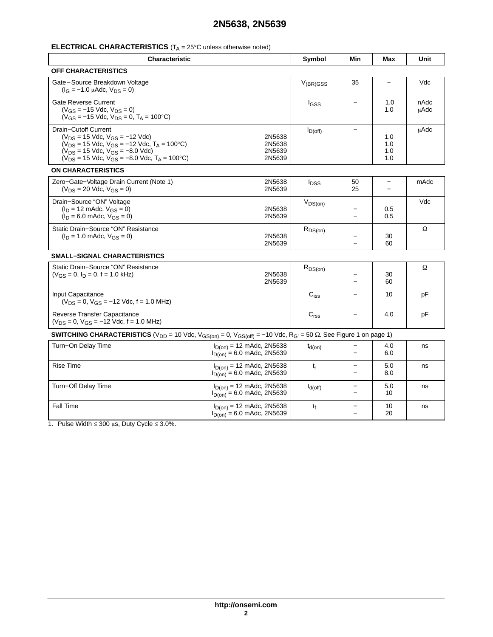### **2N5638, 2N5639**

### **ELECTRICAL CHARACTERISTICS** (T<sub>A</sub> = 25°C unless otherwise noted)

| <b>Characteristic</b>                                                                                                                                                                                                              |                                                                          | Symbol                  | Min                      | Max                      | Unit         |
|------------------------------------------------------------------------------------------------------------------------------------------------------------------------------------------------------------------------------------|--------------------------------------------------------------------------|-------------------------|--------------------------|--------------------------|--------------|
| <b>OFF CHARACTERISTICS</b>                                                                                                                                                                                                         |                                                                          |                         |                          |                          |              |
| Gate-Source Breakdown Voltage<br>$(I_G = -1.0 \mu A d c, V_{DS} = 0)$                                                                                                                                                              |                                                                          | $V_{(BR)GSS}$           | 35                       |                          | Vdc          |
| <b>Gate Reverse Current</b><br>$(V_{GS} = -15$ Vdc, $V_{DS} = 0$ )<br>$(V_{GS} = -15$ Vdc, $V_{DS} = 0$ , $T_A = 100$ °C)                                                                                                          |                                                                          | I <sub>GSS</sub>        |                          | 1.0<br>1.0               | nAdc<br>uAdc |
| Drain-Cutoff Current<br>$(V_{DS} = 15$ Vdc, $V_{GS} = -12$ Vdc)<br>$(V_{DS} = 15$ Vdc, $V_{GS} = -12$ Vdc, $T_A = 100$ °C)<br>$(V_{DS} = 15$ Vdc, $V_{GS} = -8.0$ Vdc)<br>$(V_{DS} = 15$ Vdc, $V_{GS} = -8.0$ Vdc, $T_A = 100$ °C) | 2N5638<br>2N5638<br>2N5639<br>2N5639                                     | $I_{D(off)}$            |                          | 1.0<br>1.0<br>1.0<br>1.0 | uAdc         |
| <b>ON CHARACTERISTICS</b>                                                                                                                                                                                                          |                                                                          |                         |                          |                          |              |
| Zero-Gate-Voltage Drain Current (Note 1)<br>$(V_{DS} = 20$ Vdc, $V_{GS} = 0$ )                                                                                                                                                     | 2N5638<br>2N5639                                                         | <b>I</b> <sub>DSS</sub> | 50<br>25                 | -                        | mAdc         |
| Drain-Source "ON" Voltage<br>$(I_D = 12 \text{ m}$ Adc, $V_{GS} = 0$ )<br>$(I_D = 6.0$ mAdc, $V_{GS} = 0$ )                                                                                                                        | 2N5638<br>2N5639                                                         | $V_{DS(on)}$            |                          | 0.5<br>0.5               | Vdc          |
| Static Drain-Source "ON" Resistance<br>$(I_D = 1.0 \text{ m}$ Adc, $V_{GS} = 0$ )                                                                                                                                                  | 2N5638<br>2N5639                                                         | $R_{DS(on)}$            |                          | 30<br>60                 | Ω            |
| <b>SMALL-SIGNAL CHARACTERISTICS</b>                                                                                                                                                                                                |                                                                          |                         |                          |                          |              |
| Static Drain-Source "ON" Resistance<br>$(V_{GS} = 0, I_D = 0, f = 1.0$ kHz)                                                                                                                                                        | 2N5638<br>2N5639                                                         | $R_{DS(on)}$            |                          | 30<br>60                 | Ω            |
| Input Capacitance<br>$(V_{DS} = 0, V_{GS} = -12$ Vdc, f = 1.0 MHz)                                                                                                                                                                 |                                                                          | $\mathrm{C_{iss}}$      |                          | 10                       | pF           |
| Reverse Transfer Capacitance<br>$(V_{DS} = 0, V_{GS} = -12$ Vdc, f = 1.0 MHz)                                                                                                                                                      |                                                                          | C <sub>rss</sub>        | $\qquad \qquad$          | 4.0                      | рF           |
| <b>SWITCHING CHARACTERISTICS</b> (V <sub>DD</sub> = 10 Vdc, V <sub>GS(on)</sub> = 0, V <sub>GS(off)</sub> = -10 Vdc, R <sub>G'</sub> = 50 $\Omega$ . See Figure 1 on page 1)                                                       |                                                                          |                         |                          |                          |              |
| Turn-On Delay Time                                                                                                                                                                                                                 | $I_{D(0n)} = 12 \text{ m}$ Adc, 2N5638<br>$I_{D(0n)} = 6.0$ mAdc, 2N5639 | $t_{d(on)}$             |                          | 4.0<br>6.0               | ns           |
| <b>Rise Time</b>                                                                                                                                                                                                                   | $I_{D(0n)} = 12 \text{ m}$ Adc, 2N5638<br>$I_{D(0n)} = 6.0$ mAdc, 2N5639 | $t_r$                   |                          | 5.0<br>8.0               | ns           |
| Turn-Off Delay Time                                                                                                                                                                                                                | $I_{D(0n)} = 12 \text{ m}$ Adc, 2N5638<br>$I_{D(0n)} = 6.0$ mAdc, 2N5639 | $t_{d(Off)}$            | $\overline{\phantom{0}}$ | 5.0<br>10                | ns           |
| Fall Time                                                                                                                                                                                                                          | $I_{D(0n)} = 12 \text{ m}$ Adc, 2N5638<br>$I_{D(0n)} = 6.0$ mAdc, 2N5639 | tғ                      |                          | 10<br>20                 | ns           |

1. Pulse Width  $\leq 300 \mu s$ , Duty Cycle  $\leq 3.0\%$ .